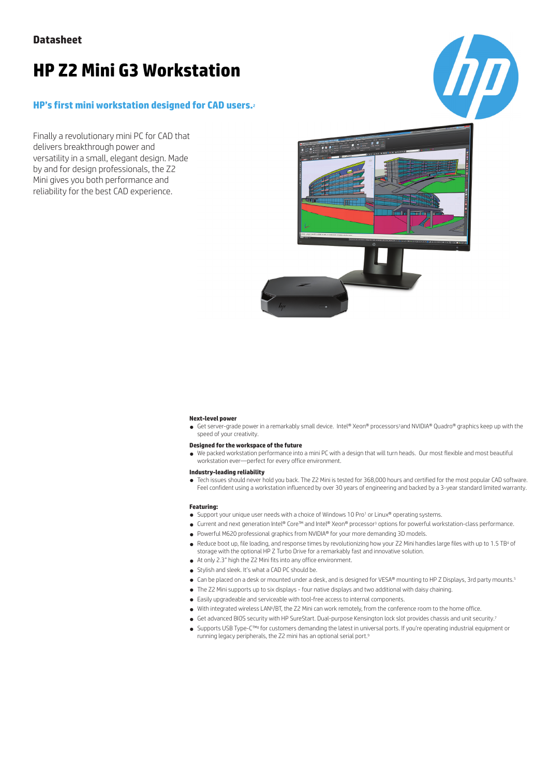# **HP Z2 Mini G3 Workstation**

### **HP's first mini workstation designed for CAD users.**<sup>2</sup>

Finally a revolutionary mini PC for CAD that delivers breakthrough power and versatility in a small, elegant design. Made by and for design professionals, the Z2 Mini gives you both performance and reliability for the best CAD experience.



### **Next-level power**

● Get server-grade power in a remarkably small device. Intel® Xeon® processors<sup>3</sup>and NVIDIA® Quadro® graphics keep up with the speed of your creativity.

#### **Designed for the workspace of the future**

● We packed workstation performance into a mini PC with a design that will turn heads. Our most flexible and most beautiful workstation ever—perfect for every office environment.

#### **Industry-leading reliability**

● Tech issues should never hold you back. The Z2 Mini is tested for 368,000 hours and certified for the most popular CAD software. Feel confident using a workstation influenced by over 30 years of engineering and backed by a 3-year standard limited warranty.

#### **Featuring:**

- Support your unique user needs with a choice of Windows 10 Pro<sup>1</sup> or Linux® operating systems.
- Current and next generation Intel® Core™ and Intel® Xeon® processor<sup>3</sup> options for powerful workstation-class performance.
- Powerful M620 professional graphics from NVIDIA® for your more demanding 3D models.
- Reduce boot up, file loading, and response times by revolutionizing how your Z2 Mini handles large files with up to 1.5 TB<sup>4</sup> of storage with the optional HP Z Turbo Drive for a remarkably fast and innovative solution.
- At only 2.3" high the Z2 Mini fits into any office environment.
- Stylish and sleek. It's what a CAD PC should be.
- Can be placed on a desk or mounted under a desk, and is designed for VESA® mounting to HP Z Displays, 3rd party mounts.5
	- The Z2 Mini supports up to six displays four native displays and two additional with daisy chaining.
	- Easily upgradeable and serviceable with tool-free access to internal components.
	- With integrated wireless LAN<sup>6</sup>/BT, the Z2 Mini can work remotely, from the conference room to the home office.
	- Get advanced BIOS security with HP SureStart. Dual-purpose Kensington lock slot provides chassis and unit security.7
	- Supports USB Type-C™<sup>8</sup> for customers demanding the latest in universal ports. If you're operating industrial equipment or running legacy peripherals, the Z2 mini has an optional serial port.9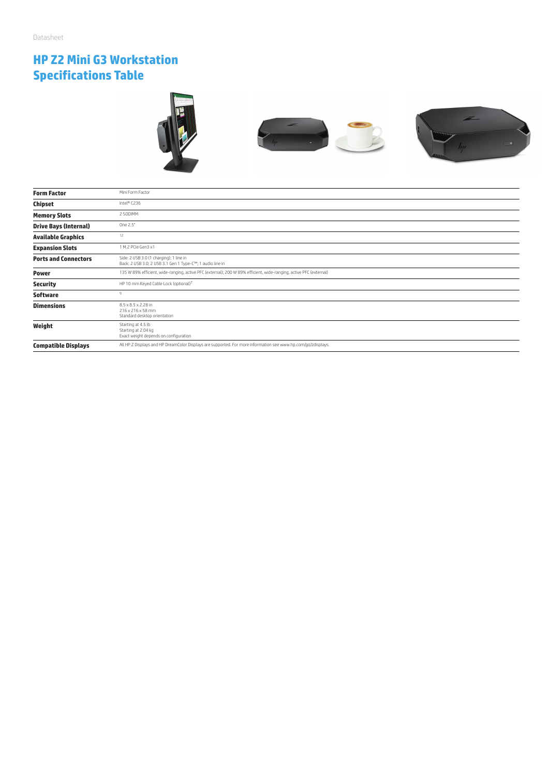# **HP Z2 Mini G3 Workstation Specifications Table**







| <b>Form Factor</b>           | Mini Form Factor                                                                                                   |  |  |
|------------------------------|--------------------------------------------------------------------------------------------------------------------|--|--|
| Chipset                      | Intel® C236                                                                                                        |  |  |
| <b>Memory Slots</b>          | 2 SODIMM                                                                                                           |  |  |
| <b>Drive Bays (Internal)</b> | One 2.5"                                                                                                           |  |  |
| <b>Available Graphics</b>    | 12                                                                                                                 |  |  |
| <b>Expansion Slots</b>       | 1 M.2 PCIe Gen3 x1                                                                                                 |  |  |
| <b>Ports and Connectors</b>  | Side: 2 USB 3.0 (1 charging); 1 line in<br>Back: 2 USB 3.0; 2 USB 3.1 Gen 1 Type-C™; 1 audio line in               |  |  |
| <b>Power</b>                 | 135 W 89% efficient, wide-ranging, active PFC (external); 200 W 89% efficient, wide-ranging, active PFC (external) |  |  |
| <b>Security</b>              | HP 10 mm Keyed Cable Lock (optional) <sup>7</sup>                                                                  |  |  |
| <b>Software</b>              | $\alpha$                                                                                                           |  |  |
| <b>Dimensions</b>            | 8.5 x 8.5 x 2.28 in<br>216 x 216 x 58 mm<br>Standard desktop orientation                                           |  |  |
| Weight                       | Starting at 4.5 lb<br>Starting at 2.04 kg<br>Exact weight depends on configuration                                 |  |  |
| <b>Compatible Displays</b>   | All HP Z Displays and HP DreamColor Displays are supported. For more information see www.hp.com/go/zdisplays.      |  |  |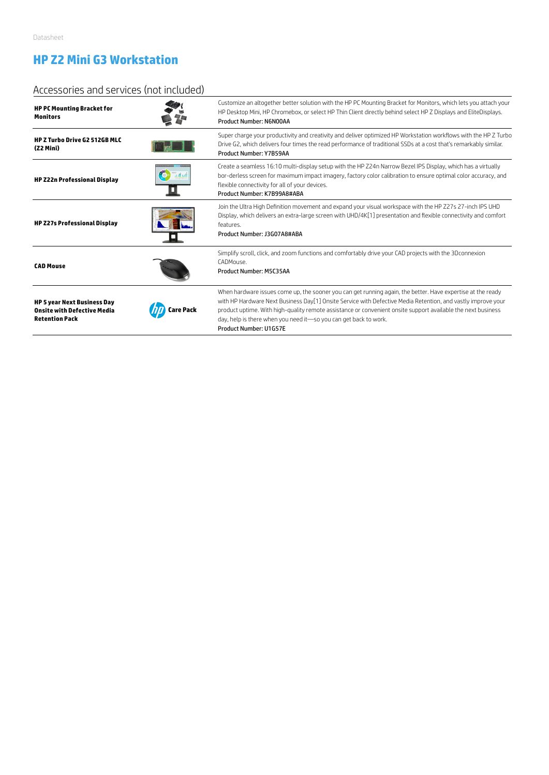# **HP Z2 Mini G3 Workstation**

### Accessories and services (not included)

| <b>HP PC Mounting Bracket for</b><br><b>Monitors</b>                                              |          | Customize an altogether better solution with the HP PC Mounting Bracket for Monitors, which lets you attach your<br>HP Desktop Mini, HP Chromebox, or select HP Thin Client directly behind select HP Z Displays and EliteDisplays.<br>Product Number: N6N00AA                                                                                                                                                                            |
|---------------------------------------------------------------------------------------------------|----------|-------------------------------------------------------------------------------------------------------------------------------------------------------------------------------------------------------------------------------------------------------------------------------------------------------------------------------------------------------------------------------------------------------------------------------------------|
| HP Z Turbo Drive G2 512GB MLC<br>(Z2 Mini)                                                        |          | Super charge your productivity and creativity and deliver optimized HP Workstation workflows with the HP Z Turbo<br>Drive G2, which delivers four times the read performance of traditional SSDs at a cost that's remarkably similar.<br>Product Number: Y7B59AA                                                                                                                                                                          |
| <b>HP Z22n Professional Display</b>                                                               |          | Create a seamless 16:10 multi-display setup with the HP Z24n Narrow Bezel IPS Display, which has a virtually<br>bor-derless screen for maximum impact imagery, factory color calibration to ensure optimal color accuracy, and<br>flexible connectivity for all of your devices.<br>Product Number: K7B99A8#ABA                                                                                                                           |
| <b>HP Z27s Professional Display</b>                                                               |          | Join the Ultra High Definition movement and expand your visual workspace with the HP Z27s 27-inch IPS UHD<br>Display, which delivers an extra-large screen with UHD/4K[1] presentation and flexible connectivity and comfort<br>features.<br>Product Number: J3G07A8#ABA                                                                                                                                                                  |
| <b>CAD Mouse</b>                                                                                  |          | Simplify scroll, click, and zoom functions and comfortably drive your CAD projects with the 3Dconnexion<br>CADMOUSe.<br>Product Number: M5C35AA                                                                                                                                                                                                                                                                                           |
| <b>HP 5 year Next Business Day</b><br><b>Onsite with Defective Media</b><br><b>Retention Pack</b> | are Pack | When hardware issues come up, the sooner you can get running again, the better. Have expertise at the ready<br>with HP Hardware Next Business Day[1] Onsite Service with Defective Media Retention, and vastly improve your<br>product uptime. With high-quality remote assistance or convenient onsite support available the next business<br>day, help is there when you need it-so you can get back to work.<br>Product Number: U1G57E |